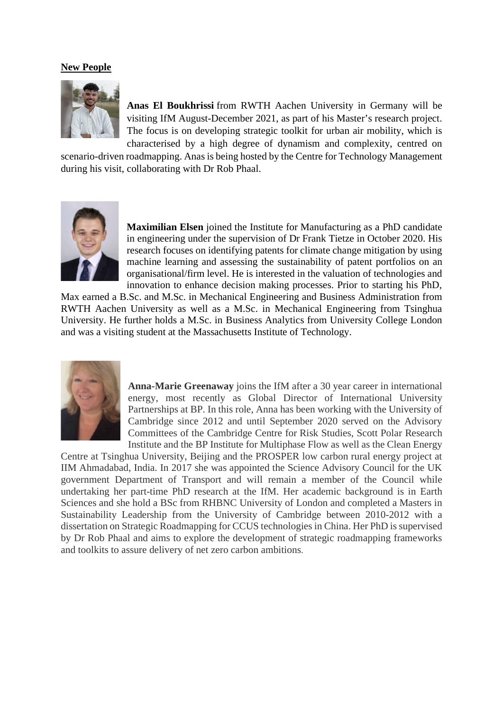## **New People**



**Anas El Boukhrissi** from RWTH Aachen University in Germany will be visiting IfM August-December 2021, as part of his Master's research project. The focus is on developing strategic toolkit for urban air mobility, which is characterised by a high degree of dynamism and complexity, centred on

scenario-driven roadmapping. Anas is being hosted by the Centre for Technology Management during his visit, collaborating with Dr Rob Phaal.



**Maximilian Elsen** joined the Institute for Manufacturing as a PhD candidate in engineering under the supervision of Dr Frank Tietze in October 2020. His research focuses on identifying patents for climate change mitigation by using machine learning and assessing the sustainability of patent portfolios on an organisational/firm level. He is interested in the valuation of technologies and innovation to enhance decision making processes. Prior to starting his PhD,

Max earned a B.Sc. and M.Sc. in Mechanical Engineering and Business Administration from RWTH Aachen University as well as a M.Sc. in Mechanical Engineering from Tsinghua University. He further holds a M.Sc. in Business Analytics from University College London and was a visiting student at the Massachusetts Institute of Technology.



**Anna-Marie Greenaway** joins the IfM after a 30 year career in international energy, most recently as Global Director of International University Partnerships at BP. In this role, Anna has been working with the University of Cambridge since 2012 and until September 2020 served on the Advisory Committees of the Cambridge Centre for Risk Studies, Scott Polar Research Institute and the BP Institute for Multiphase Flow as well as the Clean Energy

Centre at Tsinghua University, Beijing and the PROSPER low carbon rural energy project at IIM Ahmadabad, India. In 2017 she was appointed the Science Advisory Council for the UK government Department of Transport and will remain a member of the Council while undertaking her part-time PhD research at the IfM. Her academic background is in Earth Sciences and she hold a BSc from RHBNC University of London and completed a Masters in Sustainability Leadership from the University of Cambridge between 2010-2012 with a dissertation on Strategic Roadmapping for CCUS technologies in China. Her PhD is supervised by Dr Rob Phaal and aims to explore the development of strategic roadmapping frameworks and toolkits to assure delivery of net zero carbon ambitions.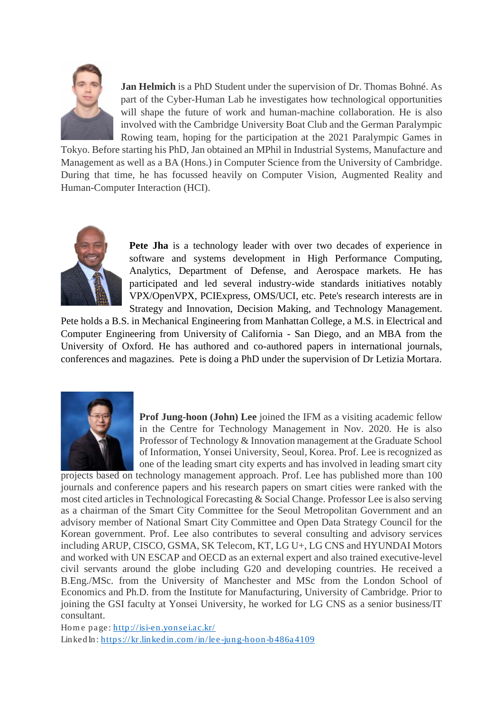

**Jan Helmich** is a PhD Student under the supervision of Dr. Thomas Bohné. As part of the Cyber-Human Lab he investigates how technological opportunities will shape the future of work and human-machine collaboration. He is also involved with the Cambridge University Boat Club and the German Paralympic Rowing team, hoping for the participation at the 2021 Paralympic Games in

Tokyo. Before starting his PhD, Jan obtained an MPhil in Industrial Systems, Manufacture and Management as well as a BA (Hons.) in Computer Science from the University of Cambridge. During that time, he has focussed heavily on Computer Vision, Augmented Reality and Human-Computer Interaction (HCI).



**Pete Jha** is a technology leader with over two decades of experience in software and systems development in High Performance Computing, Analytics, Department of Defense, and Aerospace markets. He has participated and led several industry-wide standards initiatives notably VPX/OpenVPX, PCIExpress, OMS/UCI, etc. Pete's research interests are in Strategy and Innovation, Decision Making, and Technology Management.

Pete holds a B.S. in Mechanical Engineering from Manhattan College, a M.S. in Electrical and Computer Engineering from University of California - San Diego, and an MBA from the University of Oxford. He has authored and co-authored papers in international journals, conferences and magazines. Pete is doing a PhD under the supervision of Dr Letizia Mortara.



**Prof Jung-hoon (John) Lee** joined the IFM as a visiting academic fellow in the Centre for Technology Management in Nov. 2020. He is also Professor of Technology & Innovation management at the Graduate School of Information, Yonsei University, Seoul, Korea. Prof. Lee is recognized as one of the leading smart city experts and has involved in leading smart city

projects based on technology management approach. Prof. Lee has published more than 100 journals and conference papers and his research papers on smart cities were ranked with the most cited articles in Technological Forecasting & Social Change. Professor Lee is also serving as a chairman of the Smart City Committee for the Seoul Metropolitan Government and an advisory member of National Smart City Committee and Open Data Strategy Council for the Korean government. Prof. Lee also contributes to several consulting and advisory services including ARUP, CISCO, GSMA, SK Telecom, KT, LG U+, LG CNS and HYUNDAI Motors and worked with UN ESCAP and OECD as an external expert and also trained executive-level civil servants around the globe including G20 and developing countries. He received a B.Eng./MSc. from the University of Manchester and MSc from the London School of Economics and Ph.D. from the Institute for Manufacturing, University of Cambridge. Prior to joining the GSI faculty at Yonsei University, he worked for LG CNS as a senior business/IT consultant.

Home page:<http://isi-en.yonsei.ac.kr/> LinkedIn: https://kr.linkedin.com/in/lee-jung-hoon-b486a4109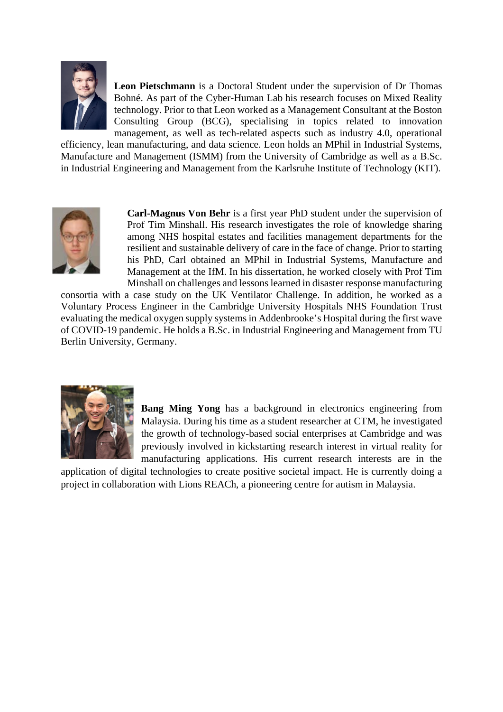

**Leon Pietschmann** is a Doctoral Student under the supervision of Dr Thomas Bohné. As part of the Cyber-Human Lab his research focuses on Mixed Reality technology. Prior to that Leon worked as a Management Consultant at the Boston Consulting Group (BCG), specialising in topics related to innovation management, as well as tech-related aspects such as industry 4.0, operational

efficiency, lean manufacturing, and data science. Leon holds an MPhil in Industrial Systems, Manufacture and Management (ISMM) from the University of Cambridge as well as a B.Sc. in Industrial Engineering and Management from the Karlsruhe Institute of Technology (KIT).



**Carl-Magnus Von Behr** is a first year PhD student under the supervision of Prof Tim Minshall. His research investigates the role of knowledge sharing among NHS hospital estates and facilities management departments for the resilient and sustainable delivery of care in the face of change. Prior to starting his PhD, Carl obtained an MPhil in Industrial Systems, Manufacture and Management at the IfM. In his dissertation, he worked closely with Prof Tim Minshall on challenges and lessons learned in disaster response manufacturing

consortia with a case study on the UK Ventilator Challenge. In addition, he worked as a Voluntary Process Engineer in the Cambridge University Hospitals NHS Foundation Trust evaluating the medical oxygen supply systems in Addenbrooke's Hospital during the first wave of COVID-19 pandemic. He holds a B.Sc. in Industrial Engineering and Management from TU Berlin University, Germany.



**Bang Ming Yong** has a background in electronics engineering from Malaysia. During his time as a student researcher at CTM, he investigated the growth of technology-based social enterprises at Cambridge and was previously involved in kickstarting research interest in virtual reality for manufacturing applications. His current research interests are in the

application of digital technologies to create positive societal impact. He is currently doing a project in collaboration with Lions REACh, a pioneering centre for autism in Malaysia.